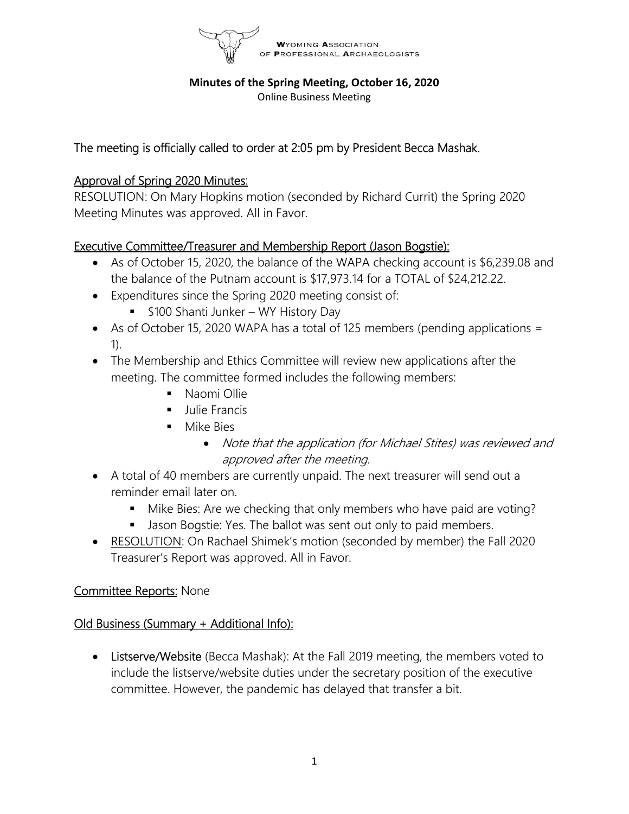

#### Minutes of the Spring Meeting, October 16, 2020

Online Business Meeting

# The meeting is officially called to order at 2:05 pm by President Becca Mashak.

# Approval of Spring 2020 Minutes:

RESOLUTION: On Mary Hopkins motion (seconded by Richard Currit) the Spring 2020 Meeting Minutes was approved. All in Favor.

# Executive Committee/Treasurer and Membership Report (Jason Bogstie):

- As of October 15, 2020, the balance of the WAPA checking account is \$6,239.08 and the balance of the Putnam account is \$17,973.14 for a TOTAL of \$24,212.22.
- Expenditures since the Spring 2020 meeting consist of:
	- **5100 Shanti Junker WY History Day**
- As of October 15, 2020 WAPA has a total of 125 members (pending applications  $=$ 1).
- The Membership and Ethics Committee will review new applications after the meeting. The committee formed includes the following members:
	- Naomi Ollie
	- Julie Francis
	- Mike Bies
		- Note that the application (for Michael Stites) was reviewed and approved after the meeting.
- A total of 40 members are currently unpaid. The next treasurer will send out a reminder email later on.
	- Mike Bies: Are we checking that only members who have paid are voting?
	- Jason Bogstie: Yes. The ballot was sent out only to paid members.
- RESOLUTION: On Rachael Shimek's motion (seconded by member) the Fall 2020 Treasurer's Report was approved. All in Favor.

### Committee Reports: None

# Old Business (Summary + Additional Info):

• Listserve/Website (Becca Mashak): At the Fall 2019 meeting, the members voted to include the listserve/website duties under the secretary position of the executive committee. However, the pandemic has delayed that transfer a bit.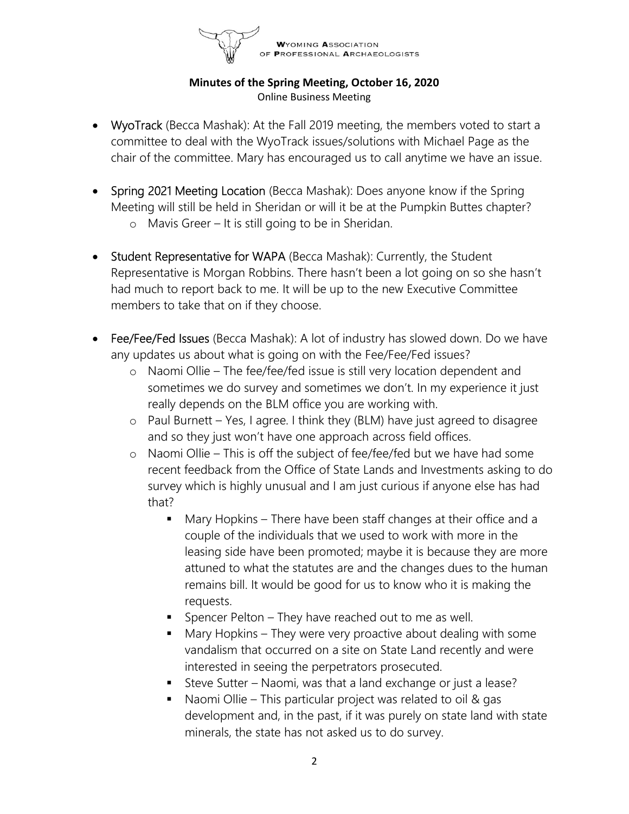

- WyoTrack (Becca Mashak): At the Fall 2019 meeting, the members voted to start a committee to deal with the WyoTrack issues/solutions with Michael Page as the chair of the committee. Mary has encouraged us to call anytime we have an issue.
- Spring 2021 Meeting Location (Becca Mashak): Does anyone know if the Spring Meeting will still be held in Sheridan or will it be at the Pumpkin Buttes chapter?
	- o Mavis Greer It is still going to be in Sheridan.
- **Student Representative for WAPA** (Becca Mashak): Currently, the Student Representative is Morgan Robbins. There hasn't been a lot going on so she hasn't had much to report back to me. It will be up to the new Executive Committee members to take that on if they choose.
- Fee/Fee/Fed Issues (Becca Mashak): A lot of industry has slowed down. Do we have any updates us about what is going on with the Fee/Fee/Fed issues?
	- o Naomi Ollie The fee/fee/fed issue is still very location dependent and sometimes we do survey and sometimes we don't. In my experience it just really depends on the BLM office you are working with.
	- o Paul Burnett Yes, I agree. I think they (BLM) have just agreed to disagree and so they just won't have one approach across field offices.
	- o Naomi Ollie This is off the subject of fee/fee/fed but we have had some recent feedback from the Office of State Lands and Investments asking to do survey which is highly unusual and I am just curious if anyone else has had that?
		- Mary Hopkins There have been staff changes at their office and a couple of the individuals that we used to work with more in the leasing side have been promoted; maybe it is because they are more attuned to what the statutes are and the changes dues to the human remains bill. It would be good for us to know who it is making the requests.
		- Spencer Pelton They have reached out to me as well.
		- Mary Hopkins They were very proactive about dealing with some vandalism that occurred on a site on State Land recently and were interested in seeing the perpetrators prosecuted.
		- Steve Sutter Naomi, was that a land exchange or just a lease?
		- Naomi Ollie This particular project was related to oil & gas development and, in the past, if it was purely on state land with state minerals, the state has not asked us to do survey.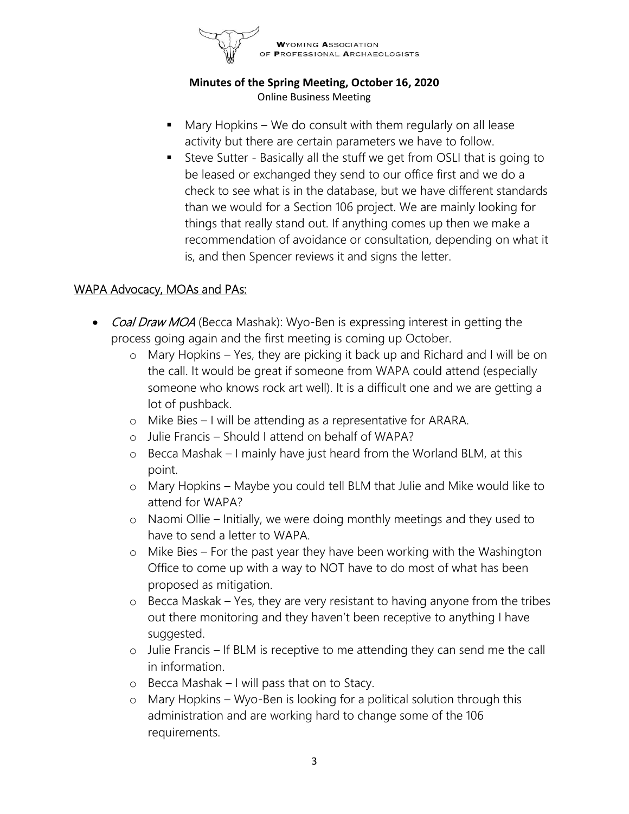

- Mary Hopkins We do consult with them regularly on all lease activity but there are certain parameters we have to follow.
- Steve Sutter Basically all the stuff we get from OSLI that is going to be leased or exchanged they send to our office first and we do a check to see what is in the database, but we have different standards than we would for a Section 106 project. We are mainly looking for things that really stand out. If anything comes up then we make a recommendation of avoidance or consultation, depending on what it is, and then Spencer reviews it and signs the letter.

### WAPA Advocacy, MOAs and PAs:

- Coal Draw MOA (Becca Mashak): Wyo-Ben is expressing interest in getting the process going again and the first meeting is coming up October.
	- o Mary Hopkins Yes, they are picking it back up and Richard and I will be on the call. It would be great if someone from WAPA could attend (especially someone who knows rock art well). It is a difficult one and we are getting a lot of pushback.
	- o Mike Bies I will be attending as a representative for ARARA.
	- o Julie Francis Should I attend on behalf of WAPA?
	- o Becca Mashak I mainly have just heard from the Worland BLM, at this point.
	- o Mary Hopkins Maybe you could tell BLM that Julie and Mike would like to attend for WAPA?
	- o Naomi Ollie Initially, we were doing monthly meetings and they used to have to send a letter to WAPA.
	- o Mike Bies For the past year they have been working with the Washington Office to come up with a way to NOT have to do most of what has been proposed as mitigation.
	- o Becca Maskak Yes, they are very resistant to having anyone from the tribes out there monitoring and they haven't been receptive to anything I have suggested.
	- o Julie Francis If BLM is receptive to me attending they can send me the call in information.
	- o Becca Mashak I will pass that on to Stacy.
	- o Mary Hopkins Wyo-Ben is looking for a political solution through this administration and are working hard to change some of the 106 requirements.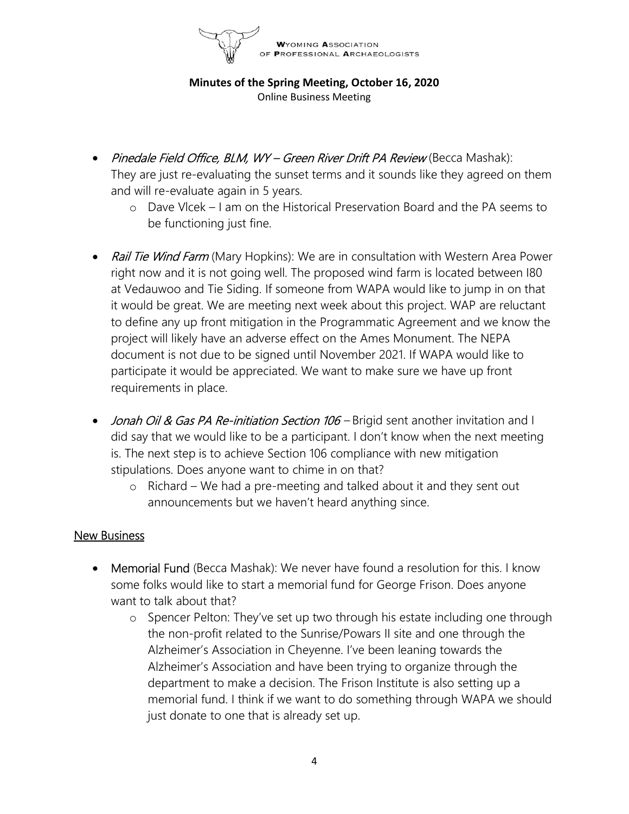**WYOMING ASSOCIATION PROFESSIONAL ARCHAEOLOGISTS** 

Minutes of the Spring Meeting, October 16, 2020 Online Business Meeting

- Pinedale Field Office, BLM, WY Green River Drift PA Review (Becca Mashak): They are just re-evaluating the sunset terms and it sounds like they agreed on them and will re-evaluate again in 5 years.
	- o Dave Vlcek I am on the Historical Preservation Board and the PA seems to be functioning just fine.
- Rail Tie Wind Farm (Mary Hopkins): We are in consultation with Western Area Power right now and it is not going well. The proposed wind farm is located between I80 at Vedauwoo and Tie Siding. If someone from WAPA would like to jump in on that it would be great. We are meeting next week about this project. WAP are reluctant to define any up front mitigation in the Programmatic Agreement and we know the project will likely have an adverse effect on the Ames Monument. The NEPA document is not due to be signed until November 2021. If WAPA would like to participate it would be appreciated. We want to make sure we have up front requirements in place.
- Jonah Oil & Gas PA Re-initiation Section 106 Brigid sent another invitation and I did say that we would like to be a participant. I don't know when the next meeting is. The next step is to achieve Section 106 compliance with new mitigation stipulations. Does anyone want to chime in on that?
	- o Richard We had a pre-meeting and talked about it and they sent out announcements but we haven't heard anything since.

### New Business

- Memorial Fund (Becca Mashak): We never have found a resolution for this. I know some folks would like to start a memorial fund for George Frison. Does anyone want to talk about that?
	- o Spencer Pelton: They've set up two through his estate including one through the non-profit related to the Sunrise/Powars II site and one through the Alzheimer's Association in Cheyenne. I've been leaning towards the Alzheimer's Association and have been trying to organize through the department to make a decision. The Frison Institute is also setting up a memorial fund. I think if we want to do something through WAPA we should just donate to one that is already set up.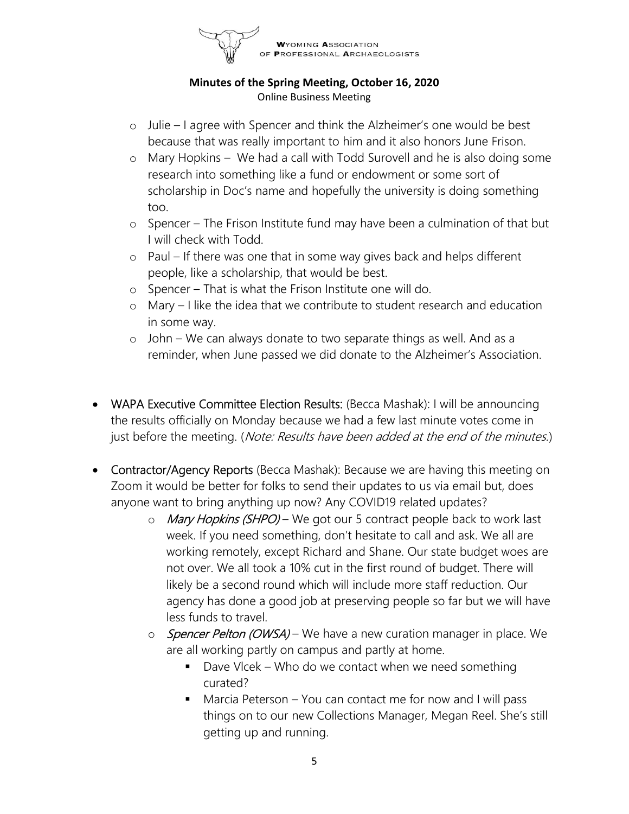

- o Julie I agree with Spencer and think the Alzheimer's one would be best because that was really important to him and it also honors June Frison.
- o Mary Hopkins We had a call with Todd Surovell and he is also doing some research into something like a fund or endowment or some sort of scholarship in Doc's name and hopefully the university is doing something too.
- o Spencer The Frison Institute fund may have been a culmination of that but I will check with Todd.
- o Paul If there was one that in some way gives back and helps different people, like a scholarship, that would be best.
- o Spencer That is what the Frison Institute one will do.
- o Mary I like the idea that we contribute to student research and education in some way.
- o John We can always donate to two separate things as well. And as a reminder, when June passed we did donate to the Alzheimer's Association.
- WAPA Executive Committee Election Results: (Becca Mashak): I will be announcing the results officially on Monday because we had a few last minute votes come in just before the meeting. (Note: Results have been added at the end of the minutes.)
- Contractor/Agency Reports (Becca Mashak): Because we are having this meeting on Zoom it would be better for folks to send their updates to us via email but, does anyone want to bring anything up now? Any COVID19 related updates?
	- o Mary Hopkins (SHPO) We got our 5 contract people back to work last week. If you need something, don't hesitate to call and ask. We all are working remotely, except Richard and Shane. Our state budget woes are not over. We all took a 10% cut in the first round of budget. There will likely be a second round which will include more staff reduction. Our agency has done a good job at preserving people so far but we will have less funds to travel.
	- o Spencer Pelton (OWSA) We have a new curation manager in place. We are all working partly on campus and partly at home.
		- $\blacksquare$  Dave Vlcek Who do we contact when we need something curated?
		- Marcia Peterson You can contact me for now and I will pass things on to our new Collections Manager, Megan Reel. She's still getting up and running.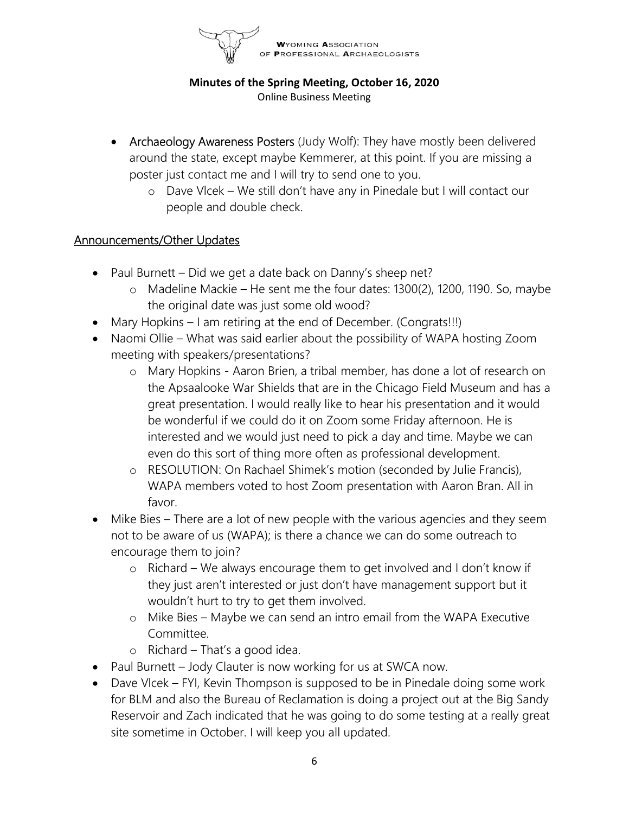

- Archaeology Awareness Posters (Judy Wolf): They have mostly been delivered around the state, except maybe Kemmerer, at this point. If you are missing a poster just contact me and I will try to send one to you.
	- o Dave Vlcek We still don't have any in Pinedale but I will contact our people and double check.

### Announcements/Other Updates

- Paul Burnett Did we get a date back on Danny's sheep net?
	- o Madeline Mackie He sent me the four dates: 1300(2), 1200, 1190. So, maybe the original date was just some old wood?
- Mary Hopkins I am retiring at the end of December. (Congrats!!!)
- Naomi Ollie What was said earlier about the possibility of WAPA hosting Zoom meeting with speakers/presentations?
	- o Mary Hopkins Aaron Brien, a tribal member, has done a lot of research on the Apsaalooke War Shields that are in the Chicago Field Museum and has a great presentation. I would really like to hear his presentation and it would be wonderful if we could do it on Zoom some Friday afternoon. He is interested and we would just need to pick a day and time. Maybe we can even do this sort of thing more often as professional development.
	- o RESOLUTION: On Rachael Shimek's motion (seconded by Julie Francis), WAPA members voted to host Zoom presentation with Aaron Bran. All in favor.
- Mike Bies There are a lot of new people with the various agencies and they seem not to be aware of us (WAPA); is there a chance we can do some outreach to encourage them to join?
	- o Richard We always encourage them to get involved and I don't know if they just aren't interested or just don't have management support but it wouldn't hurt to try to get them involved.
	- o Mike Bies Maybe we can send an intro email from the WAPA Executive Committee.
	- o Richard That's a good idea.
- Paul Burnett Jody Clauter is now working for us at SWCA now.
- Dave Vlcek FYI, Kevin Thompson is supposed to be in Pinedale doing some work for BLM and also the Bureau of Reclamation is doing a project out at the Big Sandy Reservoir and Zach indicated that he was going to do some testing at a really great site sometime in October. I will keep you all updated.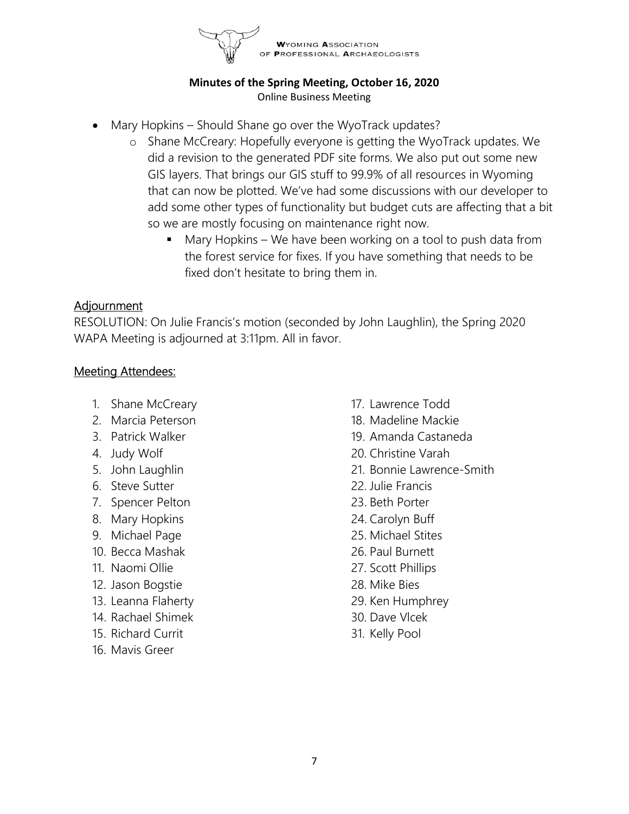

- Mary Hopkins Should Shane go over the WyoTrack updates?
	- o Shane McCreary: Hopefully everyone is getting the WyoTrack updates. We did a revision to the generated PDF site forms. We also put out some new GIS layers. That brings our GIS stuff to 99.9% of all resources in Wyoming that can now be plotted. We've had some discussions with our developer to add some other types of functionality but budget cuts are affecting that a bit so we are mostly focusing on maintenance right now.
		- Mary Hopkins We have been working on a tool to push data from the forest service for fixes. If you have something that needs to be fixed don't hesitate to bring them in.

### Adjournment

RESOLUTION: On Julie Francis's motion (seconded by John Laughlin), the Spring 2020 WAPA Meeting is adjourned at 3:11pm. All in favor.

# Meeting Attendees:

- 1. Shane McCreary
- 2. Marcia Peterson
- 3. Patrick Walker
- 4. Judy Wolf
- 5. John Laughlin
- 6. Steve Sutter
- 7. Spencer Pelton
- 8. Mary Hopkins
- 9. Michael Page
- 10. Becca Mashak
- 11. Naomi Ollie
- 12. Jason Bogstie
- 13. Leanna Flaherty
- 14. Rachael Shimek
- 15. Richard Currit
- 16. Mavis Greer
- 17. Lawrence Todd
- 18. Madeline Mackie
- 19. Amanda Castaneda
- 20. Christine Varah
- 21. Bonnie Lawrence-Smith
- 22. Julie Francis
- 23. Beth Porter
- 24. Carolyn Buff
- 25. Michael Stites
- 26. Paul Burnett
- 27. Scott Phillips
- 28. Mike Bies
- 29. Ken Humphrey
- 30. Dave Vlcek
- 31. Kelly Pool